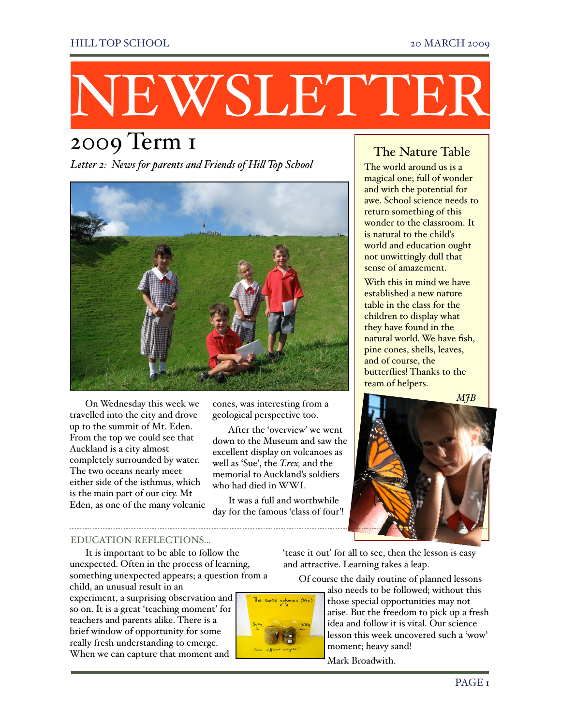# NEWSLETTER

## 2009 Term 1

*Letter 2: News for parents and Friends of Hi! Top School*



On Wednesday this week we cones, was interesting from a MJB travelled into the city and drove up to the summit of Mt. Eden. From the top we could see that Auckland is a city almost completely surrounded by water. The two oceans nearly meet either side of the isthmus, which is the main part of our city. Mt Eden, as one of the many volcanic

geological perspective too.

After the 'overview' we went down to the Museum and saw the excellent display on volcanoes as well as 'Sue', the *T.rex,* and the memorial to Auckland's soldiers who had died in WWI.

It was a full and worthwhile day for the famous 'class of four'!

#### The Nature Table

The world around us is a magical one; full of wonder and with the potential for awe. School science needs to return something of this wonder to the classroom. It is natural to the child's world and education ought not unwittingly dull that sense of amazement.

With this in mind we have established a new nature table in the class for the children to display what they have found in the natural world. We have fish, pine cones, shells, leaves, and of course, the butterflies! Thanks to the team of helpers.



#### EDUCATION REFLECTIONS…

It is important to be able to follow the unexpected. Often in the process of learning, something unexpected appears; a question from a

child, an unusual result in an experiment, a surprising observation and so on. It is a great 'teaching moment' for teachers and parents alike. There is a brief window of opportunity for some really fresh understanding to emerge. When we can capture that moment and



'tease it out' for all to see, then the lesson is easy and attractive. Learning takes a leap.

Of course the daily routine of planned lessons

also needs to be followed; without this those special opportunities may not arise. But the freedom to pick up a fresh idea and follow it is vital. Our science lesson this week uncovered such a 'wow' moment; heavy sand!

Mark Broadwith.